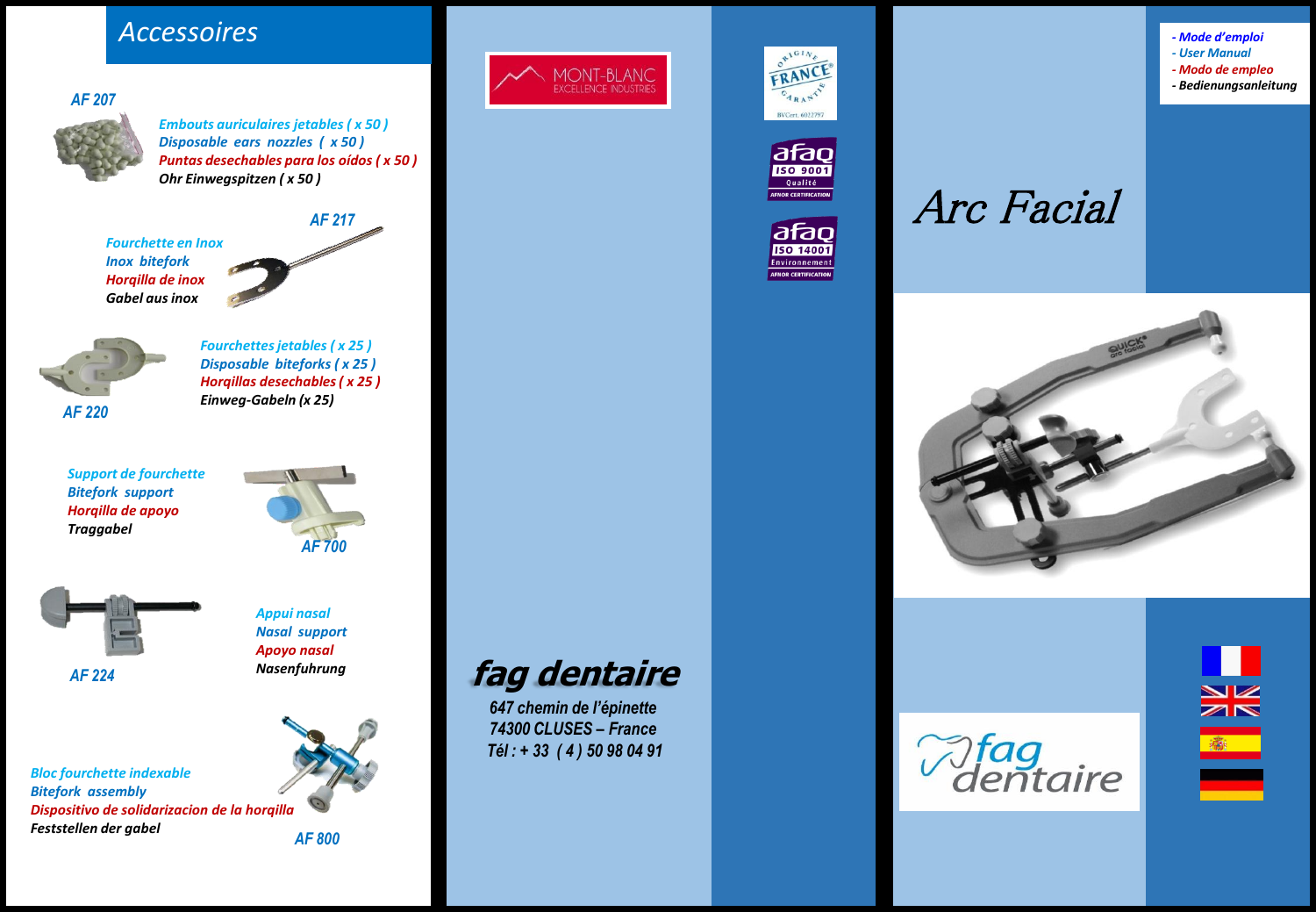## *Accessoires*

*AF 207*



*Embouts auriculaires jetables ( x 50 ) Disposable ears nozzles ( x 50 ) Puntas desechables para los oídos ( x 50 ) Ohr Einwegspitzen ( x 50 )*

*Fourchette en Inox Inox bitefork Horqilla de inox Gabel aus inox*





*Fourchettes jetables ( x 25 ) Disposable biteforks ( x 25 ) Horqillas desechables ( x 25 ) Einweg-Gabeln (x 25)*

*Support de fourchette Bitefork support Horqilla de apoyo Traggabel*





*Appui nasal Nasal support Apoyo nasal Nasenfuhrung*

*Bloc fourchette indexable Bitefork assembly Dispositivo de solidarizacion de la horqilla Feststellen der gabel*



*AF 800*



**fag dentaire** *647 chemin de l'épinette 74300 CLUSES – France Tél : + 33 ( 4 ) 50 98 04 91*







## Arc Facial







*- Mode d'emploi - User Manual - Modo de empleo - Bedienungsanleitung*